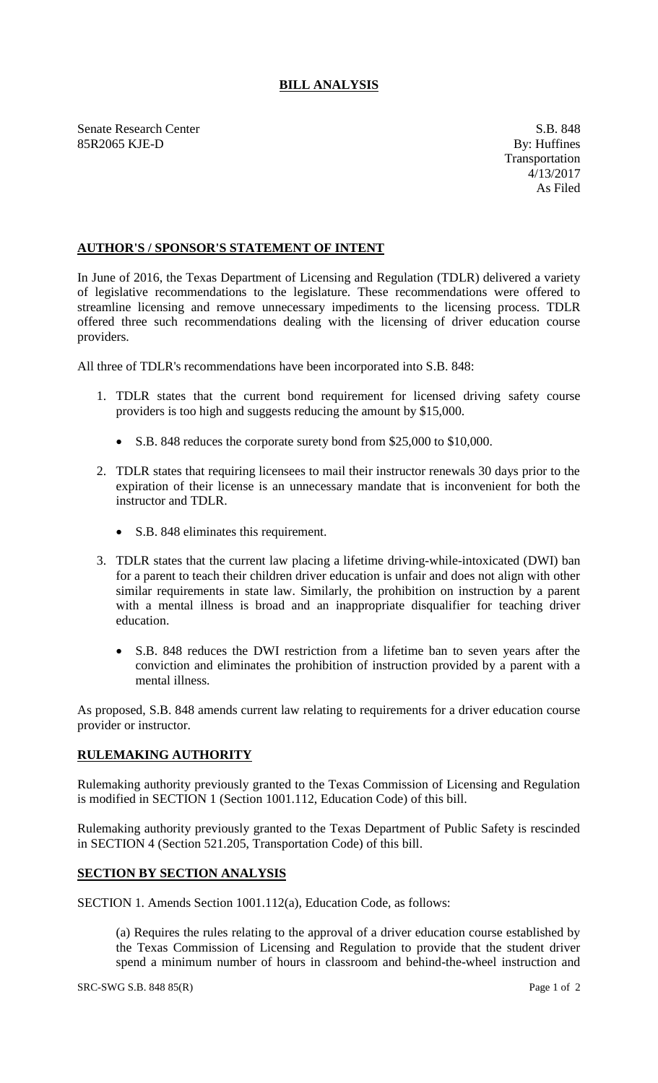## **BILL ANALYSIS**

Senate Research Center S.B. 848 85R2065 KJE-D By: Huffines

## **AUTHOR'S / SPONSOR'S STATEMENT OF INTENT**

In June of 2016, the Texas Department of Licensing and Regulation (TDLR) delivered a variety of legislative recommendations to the legislature. These recommendations were offered to streamline licensing and remove unnecessary impediments to the licensing process. TDLR offered three such recommendations dealing with the licensing of driver education course providers.

All three of TDLR's recommendations have been incorporated into S.B. 848:

- 1. TDLR states that the current bond requirement for licensed driving safety course providers is too high and suggests reducing the amount by \$15,000.
	- S.B. 848 reduces the corporate surety bond from \$25,000 to \$10,000.
- 2. TDLR states that requiring licensees to mail their instructor renewals 30 days prior to the expiration of their license is an unnecessary mandate that is inconvenient for both the instructor and TDLR.
	- S.B. 848 eliminates this requirement.
- 3. TDLR states that the current law placing a lifetime driving-while-intoxicated (DWI) ban for a parent to teach their children driver education is unfair and does not align with other similar requirements in state law. Similarly, the prohibition on instruction by a parent with a mental illness is broad and an inappropriate disqualifier for teaching driver education.
	- S.B. 848 reduces the DWI restriction from a lifetime ban to seven years after the conviction and eliminates the prohibition of instruction provided by a parent with a mental illness.

As proposed, S.B. 848 amends current law relating to requirements for a driver education course provider or instructor.

## **RULEMAKING AUTHORITY**

Rulemaking authority previously granted to the Texas Commission of Licensing and Regulation is modified in SECTION 1 (Section 1001.112, Education Code) of this bill.

Rulemaking authority previously granted to the Texas Department of Public Safety is rescinded in SECTION 4 (Section 521.205, Transportation Code) of this bill.

## **SECTION BY SECTION ANALYSIS**

SECTION 1. Amends Section 1001.112(a), Education Code, as follows:

(a) Requires the rules relating to the approval of a driver education course established by the Texas Commission of Licensing and Regulation to provide that the student driver spend a minimum number of hours in classroom and behind-the-wheel instruction and